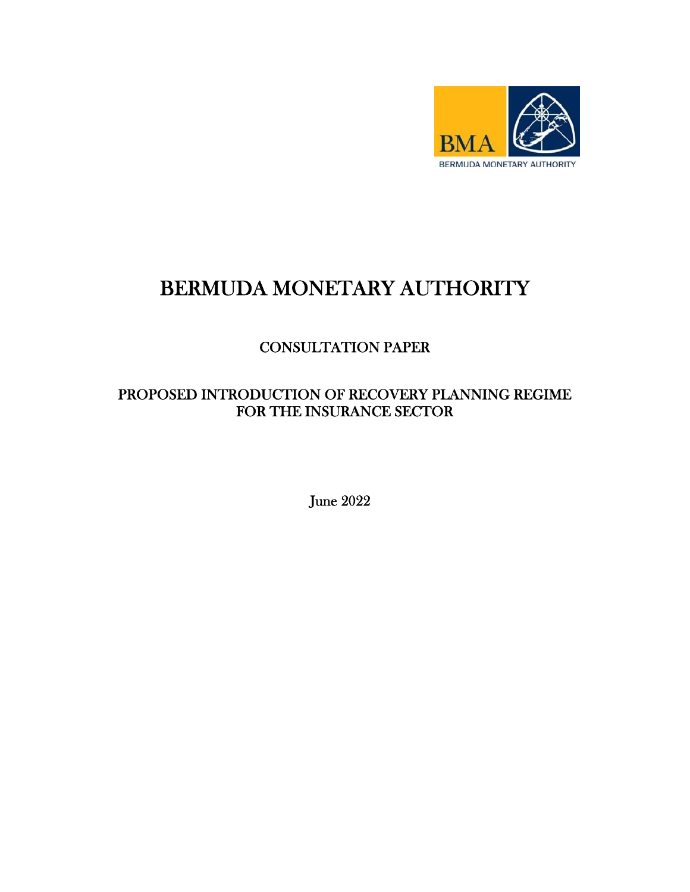

# BERMUDA MONETARY AUTHORITY

# CONSULTATION PAPER

## PROPOSED INTRODUCTION OF RECOVERY PLANNING REGIME FOR THE INSURANCE SECTOR

June 2022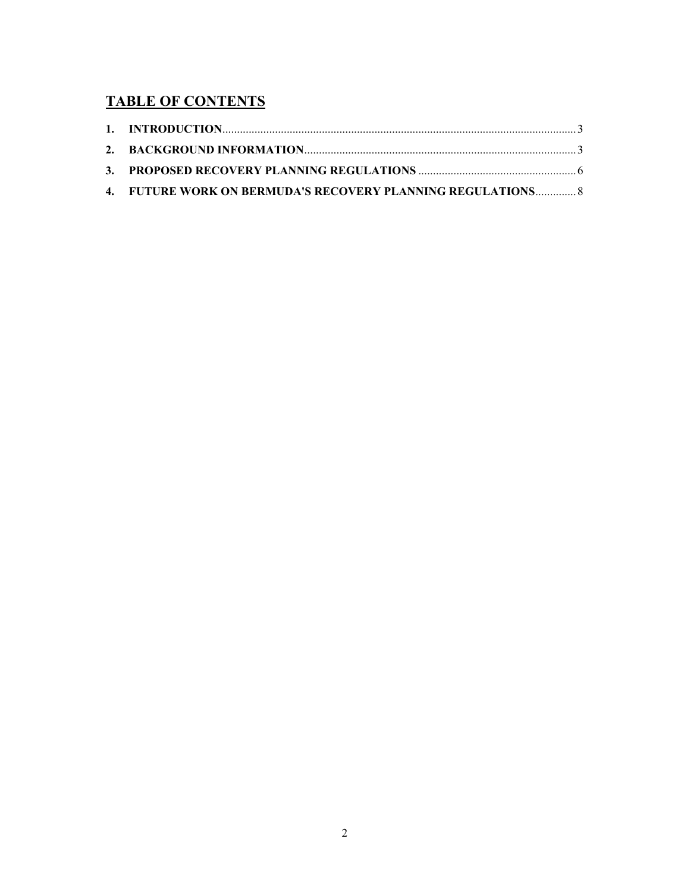## **TABLE OF CONTENTS**

| 4. FUTURE WORK ON BERMUDA'S RECOVERY PLANNING REGULATIONS 8 |  |
|-------------------------------------------------------------|--|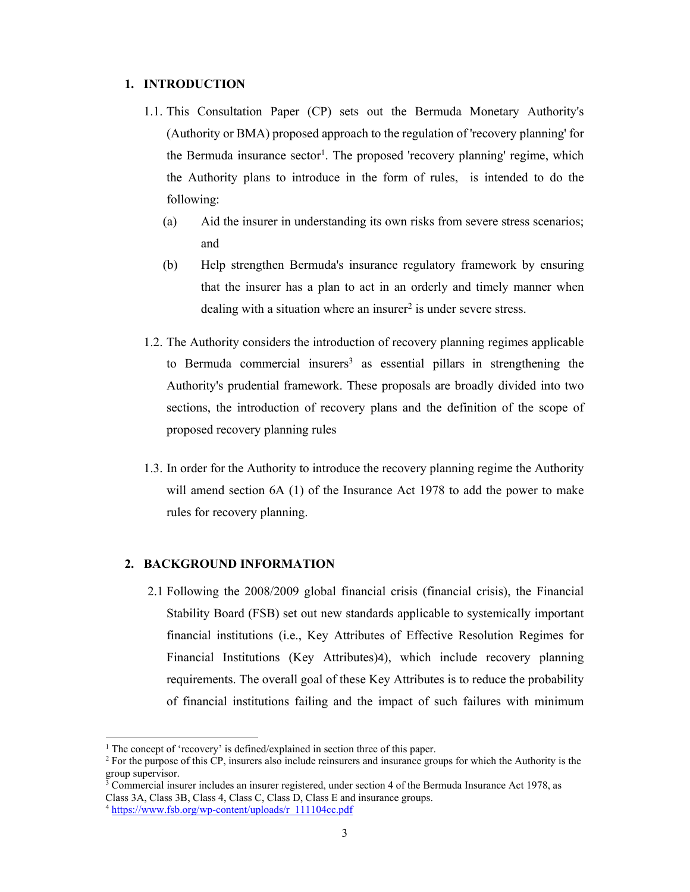#### **1. INTRODUCTION**

- 1.1. This Consultation Paper (CP) sets out the Bermuda Monetary Authority's (Authority or BMA) proposed approach to the regulation of 'recovery planning' for the Bermuda insurance  $\text{sector}^1$ . The proposed 'recovery planning' regime, which the Authority plans to introduce in the form of rules, is intended to do the following:
	- (a) Aid the insurer in understanding its own risks from severe stress scenarios; and
	- (b) Help strengthen Bermuda's insurance regulatory framework by ensuring that the insurer has a plan to act in an orderly and timely manner when dealing with a situation where an insurer<sup>2</sup> is under severe stress.
- 1.2. The Authority considers the introduction of recovery planning regimes applicable to Bermuda commercial insurers<sup>3</sup> as essential pillars in strengthening the Authority's prudential framework. These proposals are broadly divided into two sections, the introduction of recovery plans and the definition of the scope of proposed recovery planning rules
- 1.3. In order for the Authority to introduce the recovery planning regime the Authority will amend section 6A (1) of the Insurance Act 1978 to add the power to make rules for recovery planning.

#### **2. BACKGROUND INFORMATION**

2.1 Following the 2008/2009 global financial crisis (financial crisis), the Financial Stability Board (FSB) set out new standards applicable to systemically important financial institutions (i.e., Key Attributes of Effective Resolution Regimes for Financial Institutions (Key Attributes)4), which include recovery planning requirements. The overall goal of these Key Attributes is to reduce the probability of financial institutions failing and the impact of such failures with minimum

<sup>&</sup>lt;sup>1</sup> The concept of 'recovery' is defined/explained in section three of this paper.<br><sup>2</sup> For the purpose of this CP insurers also include reinsurers and insurance gro

<sup>&</sup>lt;sup>2</sup> For the purpose of this CP, insurers also include reinsurers and insurance groups for which the Authority is the group supervisor.

<sup>&</sup>lt;sup>3</sup> Commercial insurer includes an insurer registered, under section 4 of the Bermuda Insurance Act 1978, as Class 3A, Class 3B, Class 4, Class C, Class D, Class E and insurance groups. 4 https://www.fsb.org/wp-content/uploads/r\_111104cc.pdf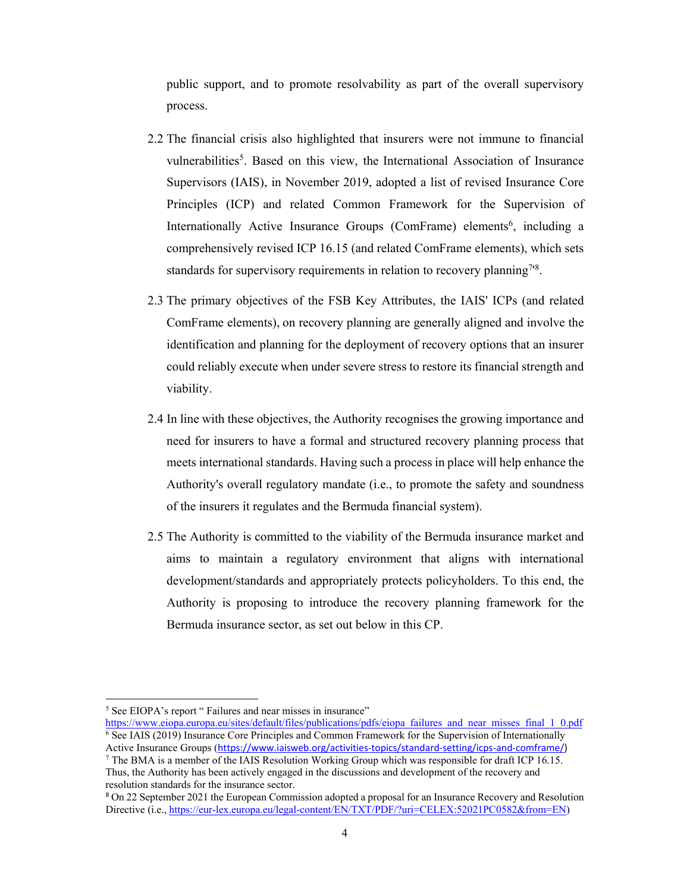public support, and to promote resolvability as part of the overall supervisory process.

- 2.2 The financial crisis also highlighted that insurers were not immune to financial vulnerabilities<sup>5</sup>. Based on this view, the International Association of Insurance Supervisors (IAIS), in November 2019, adopted a list of revised Insurance Core Principles (ICP) and related Common Framework for the Supervision of Internationally Active Insurance Groups (ComFrame) elements<sup>6</sup>, including a comprehensively revised ICP 16.15 (and related ComFrame elements), which sets standards for supervisory requirements in relation to recovery planning<sup>718</sup>.
- 2.3 The primary objectives of the FSB Key Attributes, the IAIS' ICPs (and related ComFrame elements), on recovery planning are generally aligned and involve the identification and planning for the deployment of recovery options that an insurer could reliably execute when under severe stress to restore its financial strength and viability.
- 2.4 In line with these objectives, the Authority recognises the growing importance and need for insurers to have a formal and structured recovery planning process that meets international standards. Having such a process in place will help enhance the Authority's overall regulatory mandate (i.e., to promote the safety and soundness of the insurers it regulates and the Bermuda financial system).
- 2.5 The Authority is committed to the viability of the Bermuda insurance market and aims to maintain a regulatory environment that aligns with international development/standards and appropriately protects policyholders. To this end, the Authority is proposing to introduce the recovery planning framework for the Bermuda insurance sector, as set out below in this CP.

<sup>&</sup>lt;sup>5</sup> See EIOPA's report " Failures and near misses in insurance"

https://www.eiopa.europa.eu/sites/default/files/publications/pdfs/eiopa\_failures\_and\_near\_misses\_final\_1\_0.pdf  $6$  See IAIS (2019) Insurance Core Principles and Common Framework for the Supervision of Internationally Active Insurance Groups (https://www.iaisweb.org/activities-topics/standard-setting/icps-and-comframe/)

<sup>&</sup>lt;sup>7</sup> The BMA is a member of the IAIS Resolution Working Group which was responsible for draft ICP 16.15. Thus, the Authority has been actively engaged in the discussions and development of the recovery and resolution standards for the insurance sector.

<sup>8</sup> On 22 September 2021 the European Commission adopted a proposal for an Insurance Recovery and Resolution Directive (i.e., https://eur-lex.europa.eu/legal-content/EN/TXT/PDF/?uri=CELEX:52021PC0582&from=EN)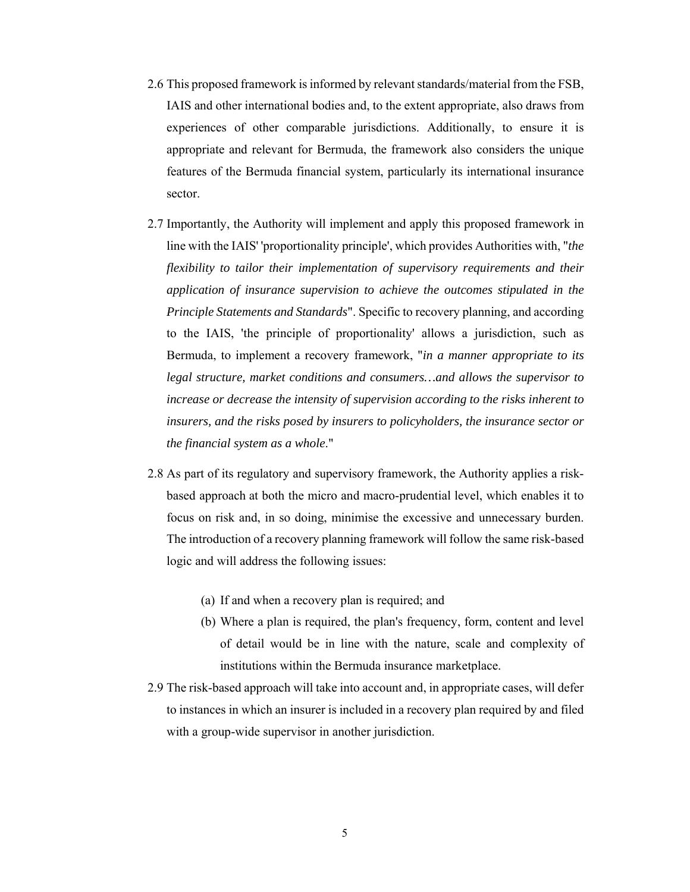- 2.6 This proposed framework is informed by relevant standards/material from the FSB, IAIS and other international bodies and, to the extent appropriate, also draws from experiences of other comparable jurisdictions. Additionally, to ensure it is appropriate and relevant for Bermuda, the framework also considers the unique features of the Bermuda financial system, particularly its international insurance sector.
- 2.7 Importantly, the Authority will implement and apply this proposed framework in line with the IAIS' 'proportionality principle', which provides Authorities with, "*the flexibility to tailor their implementation of supervisory requirements and their application of insurance supervision to achieve the outcomes stipulated in the Principle Statements and Standards*". Specific to recovery planning, and according to the IAIS, 'the principle of proportionality' allows a jurisdiction, such as Bermuda, to implement a recovery framework, "*in a manner appropriate to its legal structure, market conditions and consumers…and allows the supervisor to increase or decrease the intensity of supervision according to the risks inherent to insurers, and the risks posed by insurers to policyholders, the insurance sector or the financial system as a whole*."
- 2.8 As part of its regulatory and supervisory framework, the Authority applies a riskbased approach at both the micro and macro-prudential level, which enables it to focus on risk and, in so doing, minimise the excessive and unnecessary burden. The introduction of a recovery planning framework will follow the same risk-based logic and will address the following issues:
	- (a) If and when a recovery plan is required; and
	- (b) Where a plan is required, the plan's frequency, form, content and level of detail would be in line with the nature, scale and complexity of institutions within the Bermuda insurance marketplace.
- 2.9 The risk-based approach will take into account and, in appropriate cases, will defer to instances in which an insurer is included in a recovery plan required by and filed with a group-wide supervisor in another jurisdiction.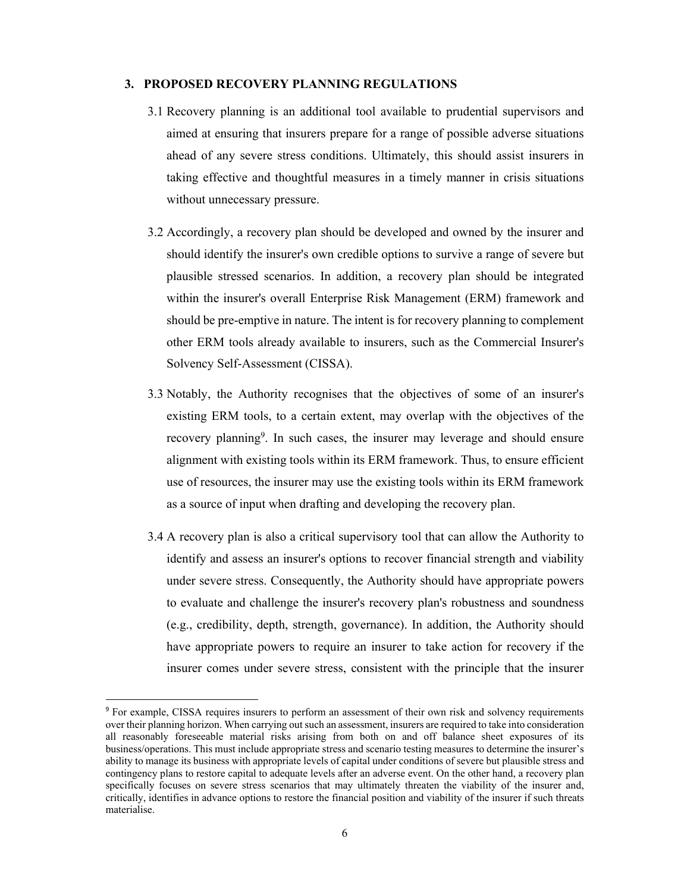#### **3. PROPOSED RECOVERY PLANNING REGULATIONS**

- 3.1 Recovery planning is an additional tool available to prudential supervisors and aimed at ensuring that insurers prepare for a range of possible adverse situations ahead of any severe stress conditions. Ultimately, this should assist insurers in taking effective and thoughtful measures in a timely manner in crisis situations without unnecessary pressure.
- 3.2 Accordingly, a recovery plan should be developed and owned by the insurer and should identify the insurer's own credible options to survive a range of severe but plausible stressed scenarios. In addition, a recovery plan should be integrated within the insurer's overall Enterprise Risk Management (ERM) framework and should be pre-emptive in nature. The intent is for recovery planning to complement other ERM tools already available to insurers, such as the Commercial Insurer's Solvency Self-Assessment (CISSA).
- 3.3 Notably, the Authority recognises that the objectives of some of an insurer's existing ERM tools, to a certain extent, may overlap with the objectives of the recovery planning<sup>9</sup>. In such cases, the insurer may leverage and should ensure alignment with existing tools within its ERM framework. Thus, to ensure efficient use of resources, the insurer may use the existing tools within its ERM framework as a source of input when drafting and developing the recovery plan.
- 3.4 A recovery plan is also a critical supervisory tool that can allow the Authority to identify and assess an insurer's options to recover financial strength and viability under severe stress. Consequently, the Authority should have appropriate powers to evaluate and challenge the insurer's recovery plan's robustness and soundness (e.g., credibility, depth, strength, governance). In addition, the Authority should have appropriate powers to require an insurer to take action for recovery if the insurer comes under severe stress, consistent with the principle that the insurer

<sup>9</sup> For example, CISSA requires insurers to perform an assessment of their own risk and solvency requirements over their planning horizon. When carrying out such an assessment, insurers are required to take into consideration all reasonably foreseeable material risks arising from both on and off balance sheet exposures of its business/operations. This must include appropriate stress and scenario testing measures to determine the insurer's ability to manage its business with appropriate levels of capital under conditions of severe but plausible stress and contingency plans to restore capital to adequate levels after an adverse event. On the other hand, a recovery plan specifically focuses on severe stress scenarios that may ultimately threaten the viability of the insurer and, critically, identifies in advance options to restore the financial position and viability of the insurer if such threats materialise.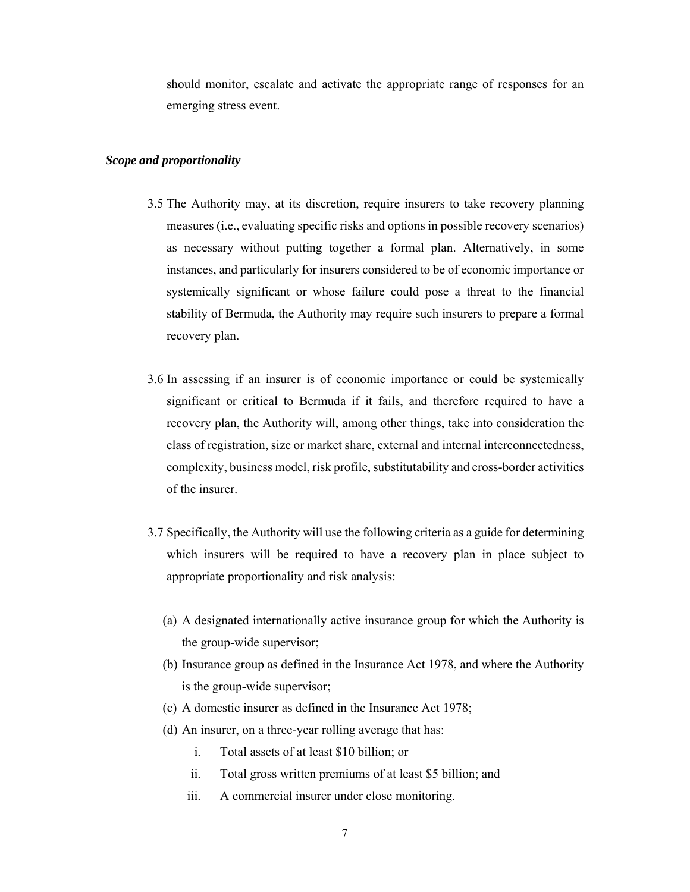should monitor, escalate and activate the appropriate range of responses for an emerging stress event.

#### *Scope and proportionality*

- 3.5 The Authority may, at its discretion, require insurers to take recovery planning measures (i.e., evaluating specific risks and options in possible recovery scenarios) as necessary without putting together a formal plan. Alternatively, in some instances, and particularly for insurers considered to be of economic importance or systemically significant or whose failure could pose a threat to the financial stability of Bermuda, the Authority may require such insurers to prepare a formal recovery plan.
- 3.6 In assessing if an insurer is of economic importance or could be systemically significant or critical to Bermuda if it fails, and therefore required to have a recovery plan, the Authority will, among other things, take into consideration the class of registration, size or market share, external and internal interconnectedness, complexity, business model, risk profile, substitutability and cross-border activities of the insurer.
- 3.7 Specifically, the Authority will use the following criteria as a guide for determining which insurers will be required to have a recovery plan in place subject to appropriate proportionality and risk analysis:
	- (a) A designated internationally active insurance group for which the Authority is the group-wide supervisor;
	- (b) Insurance group as defined in the Insurance Act 1978, and where the Authority is the group-wide supervisor;
	- (c) A domestic insurer as defined in the Insurance Act 1978;
	- (d) An insurer, on a three-year rolling average that has:
		- i. Total assets of at least \$10 billion; or
		- ii. Total gross written premiums of at least \$5 billion; and
		- iii. A commercial insurer under close monitoring.